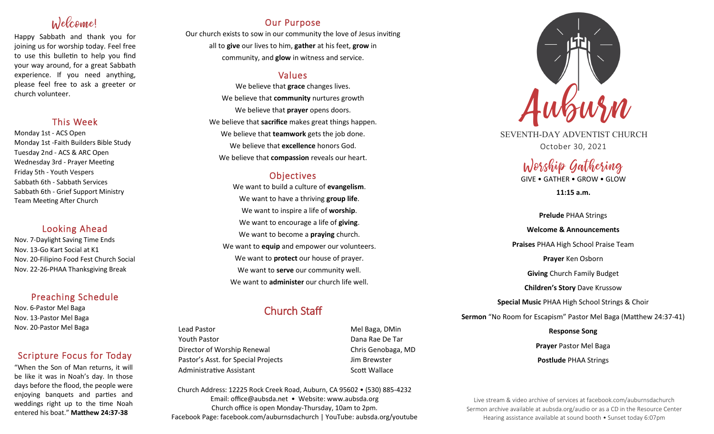# Welcome!

Happy Sabbath and thank you for joining us for worship today. Feel free to use this bulletin to help you find your way around, for a great Sabbath experience. If you need anything, please feel free to ask a greeter or church volunteer.

## This Week

Monday 1st - ACS Open Monday 1st -Faith Builders Bible Study Tuesday 2nd - ACS & ARC Open Wednesday 3rd - Prayer Meeting Friday 5th - Youth Vespers Sabbath 6th - Sabbath Services Sabbath 6th - Grief Support Ministry Team Meeting After Church

## Looking Ahead

Nov. 7-Daylight Saving Time Ends Nov. 13-Go Kart Social at K1 Nov. 20-Filipino Food Fest Church Social Nov. 22-26-PHAA Thanksgiving Break

## Preaching Schedule

Nov. 6-Pastor Mel Baga Nov. 13-Pastor Mel Baga Nov. 20-Pastor Mel Baga

## Scripture Focus for Today

"When the Son of Man returns, it will be like it was in Noah's day. In those days before the flood, the people were enjoying banquets and parties and weddings right up to the time Noah entered his boat." **Matthew 24:37-38**

## Our Purpose

Our church exists to sow in our community the love of Jesus inviting all to **give** our lives to him, **gather** at his feet, **grow** in community, and **glow** in witness and service.

## Values

We believe that **grace** changes lives. We believe that **community** nurtures growth We believe that **prayer** opens doors. We believe that **sacrifice** makes great things happen. We believe that **teamwork** gets the job done. We believe that **excellence** honors God. We believe that **compassion** reveals our heart.

## **Objectives**

We want to build a culture of **evangelism**. We want to have a thriving **group life**. We want to inspire a life of **worship**. We want to encourage a life of **giving**. We want to become a **praying** church. We want to **equip** and empower our volunteers. We want to **protect** our house of prayer. We want to **serve** our community well. We want to **administer** our church life well.

## Church Staff

Lead Pastor **Mel Baga, DMin** Youth Pastor Dana Rae De Tar Director of Worship Renewal Chris Genobaga, MD Pastor's Asst. for Special Projects Fig. 3.1 Jim Brewster Administrative Assistant National Controllery Scott Wallace

Church Address: 12225 Rock Creek Road, Auburn, CA 95602 • (530) 885-4232 Email: office@aubsda.net • Website: www.aubsda.org Church office is open Monday-Thursday, 10am to 2pm. Facebook Page: facebook.com/auburnsdachurch | YouTube: aubsda.org/youtube



SEVENTH-DAY ADVENTIST CHURCH October 30, 2021

# Worship Gathering

GIVE • GATHER • GROW • GLOW

**11:15 a.m.**

# **Prelude** PHAA Strings **Welcome & Announcements Praises** PHAA High School Praise Team **Prayer** Ken Osborn **Giving** Church Family Budget **Children's Story** Dave Krussow **Special Music** PHAA High School Strings & Choir **Sermon** "No Room for Escapism" Pastor Mel Baga (Matthew 24:37-41)

**Response Song Prayer** Pastor Mel Baga **Postlude** PHAA Strings

Live stream & video archive of services at facebook.com/auburnsdachurch Sermon archive available at aubsda.org/audio or as a CD in the Resource Center Hearing assistance available at sound booth • Sunset today 6:07pm